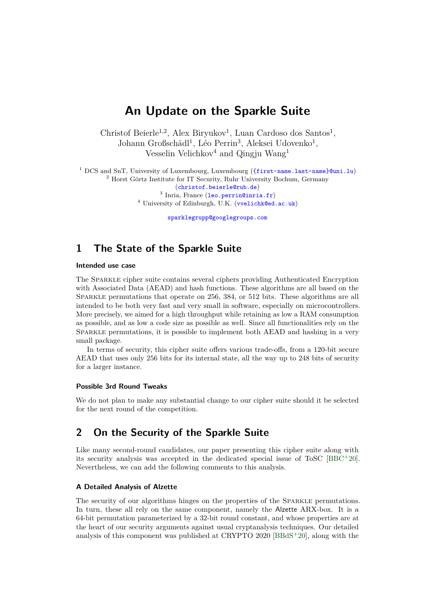# **An Update on the Sparkle Suite**

Christof Beierle<sup>1,2</sup>, Alex Biryukov<sup>1</sup>, Luan Cardoso dos Santos<sup>1</sup>, Johann Großschädl<sup>1</sup>, Léo Perrin<sup>3</sup>, Aleksei Udovenko<sup>1</sup>, Vesselin Velichkov<sup>4</sup> and Qingju Wang<sup>1</sup>

 DCS and SnT, University of Luxembourg, Luxembourg ([{first-name.last-name}@uni.lu](mailto:{first-name.last-name}@uni.lu)) Horst Görtz Institute for IT Security, Ruhr University Bochum, Germany ([christof.beierle@rub.de](mailto:christof.beierle@rub.de)) Inria, France (1eo.perrin@inria.fr) University of Edinburgh, U.K. ([vvelichk@ed.ac.uk](mailto:vvelichk@ed.ac.uk))

[sparklegrupp@googlegroups.com](mailto:sparklegrupp@googlegroups.com)

## **1 The State of the Sparkle Suite**

#### **Intended use case**

The Sparkle cipher suite contains several ciphers providing Authenticated Encryption with Associated Data (AEAD) and hash functions. These algorithms are all based on the SPARKLE permutations that operate on 256, 384, or 512 bits. These algorithms are all intended to be both very fast and very small in software, especially on microcontrollers. More precisely, we aimed for a high throughput while retaining as low a RAM consumption as possible, and as low a code size as possible as well. Since all functionalities rely on the Sparkle permutations, it is possible to implement both AEAD and hashing in a very small package.

In terms of security, this cipher suite ofers various trade-ofs, from a 120-bit secure AEAD that uses only 256 bits for its internal state, all the way up to 248 bits of security for a larger instance.

#### **Possible 3rd Round Tweaks**

We do not plan to make any substantial change to our cipher suite should it be selected for the next round of the competition.

### **2 On the Security of the Sparkle Suite**

Like many second-round candidates, our paper presenting this cipher suite along with its security analysis was accepted in the dedicated special issue of ToSC  $[BBC + 20]$  $[BBC + 20]$ . Nevertheless, we can add the following comments to this analysis.

#### **A Detailed Analysis of Alzette**

The security of our algorithms hinges on the properties of the Sparkle permutations. In turn, these all rely on the same component, namely the Alzette ARX-box. It is a 64-bit permutation parameterized by a 32-bit round constant, and whose properties are at the heart of our security arguments against usual cryptanalysis techniques. Our detailed analysis of this component was published at CRYPTO 2020 [\[BBdS](#page-4-0)<sup>+</sup>20], along with the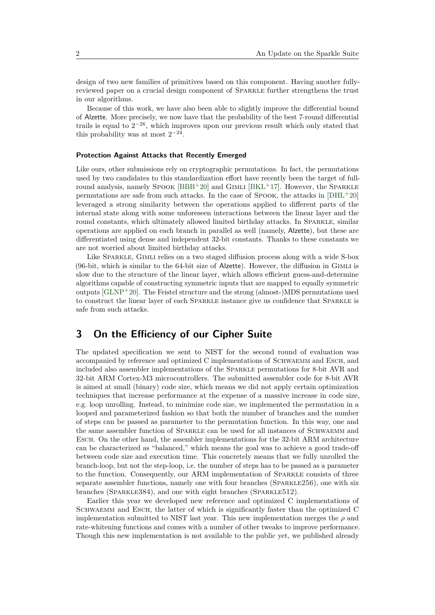design of two new families of primitives based on this component. Having another fullyreviewed paper on a crucial design component of Sparkle further strengthens the trust in our algorithms.

Because of this work, we have also been able to slightly improve the diferential bound of Alzette. More precisely, we now have that the probability of the best 7-round diferential trails is equal to  $2^{-26}$ , which improves upon our previous result which only stated that this probability was at most  $2^{-24}$ .

#### **Protection Against Attacks that Recently Emerged**

Like ours, other submissions rely on cryptographic permutations. In fact, the permutations used by two candidates to this standardization efort have recently been the target of fullround analysis, namely  $Spook [BBB+20]$  $Spook [BBB+20]$  $Spook [BBB+20]$  and  $GIMLI [BKL+17]$  $GIMLI [BKL+17]$  $GIMLI [BKL+17]$ . However, the SparkLE permutations are safe from such attacks. In the case of Spook, the attacks in [\[DHL](#page-4-2)<sup>+</sup>20] leveraged a strong similarity between the operations applied to diferent parts of the internal state along with some unforeseen interactions between the linear layer and the round constants, which ultimately allowed limited birthday attacks. In SPARKLE, similar operations are applied on each branch in parallel as well (namely, Alzette), but these are diferentiated using dense and independent 32-bit constants. Thanks to these constants we are not worried about limited birthday attacks.

Like SPARKLE, GIMLI relies on a two staged diffusion process along with a wide S-box (96-bit, which is similar to the 64-bit size of Alzette). However, the difusion in Gimli is slow due to the structure of the linear layer, which allows efficient guess-and-determine algorithms capable of constructing symmetric inputs that are mapped to equally symmetric outputs  $\text{[GLNP+20]}$  $\text{[GLNP+20]}$  $\text{[GLNP+20]}$ . The Feistel structure and the strong (almost-)MDS permutations used to construct the linear layer of each Sparkle instance give us confdence that Sparkle is safe from such attacks.

### **3 On the Efciency of our Cipher Suite**

The updated specifcation we sent to NIST for the second round of evaluation was accompanied by reference and optimized C implementations of SCHWAEMM and ESCH, and included also assembler implementations of the Sparkle permutations for 8-bit AVR and 32-bit ARM Cortex-M3 microcontrollers. The submitted assembler code for 8-bit AVR is aimed at small (binary) code size, which means we did not apply certain optimization techniques that increase performance at the expense of a massive increase in code size, e.g. loop unrolling. Instead, to minimize code size, we implemented the permutation in a looped and parameterized fashion so that both the number of branches and the number of steps can be passed as parameter to the permutation function. In this way, one and the same assembler function of SPARKLE can be used for all instances of SCHWAEMM and Esch. On the other hand, the assembler implementations for the 32-bit ARM architecture can be characterized as "balanced," which means the goal was to achieve a good trade-of between code size and execution time. This concretely means that we fully unrolled the branch-loop, but not the step-loop, i.e. the number of steps has to be passed as a parameter to the function. Consequently, our ARM implementation of Sparkle consists of three separate assembler functions, namely one with four branches (Sparkle256), one with six branches (Sparkle384), and one with eight branches (Sparkle512).

Earlier this year we developed new reference and optimized C implementations of Schwaemm and Esch, the latter of which is signifcantly faster than the optimized C implementation submitted to NIST last year. This new implementation merges the  $\rho$  and rate-whitening functions and comes with a number of other tweaks to improve performance. Though this new implementation is not available to the public yet, we published already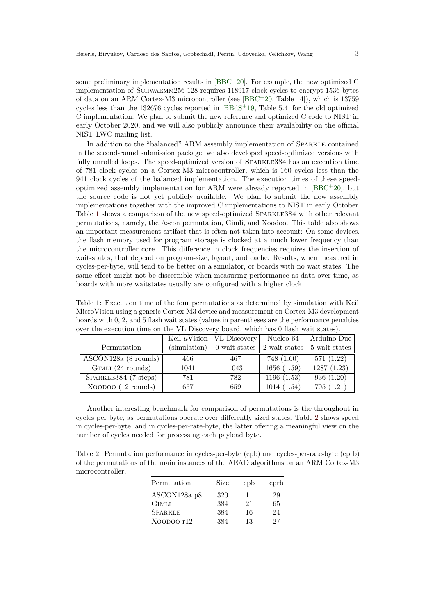some preliminary implementation results in  $[BBC + 20]$  $[BBC + 20]$ . For example, the new optimized C implementation of Schwaemm256-128 requires 118917 clock cycles to encrypt 1536 bytes of data on an ARM Cortex-M3 microcontroller (see [\[BBC](#page-3-0)<sup>+</sup>20, Table 14]), which is 13759 cycles less than the 132676 cycles reported in [\[BBdS](#page-3-2)<sup>+</sup>19, Table 5.4] for the old optimized C implementation. We plan to submit the new reference and optimized C code to NIST in early October 2020, and we will also publicly announce their availability on the official NIST LWC mailing list.

In addition to the "balanced" ARM assembly implementation of Sparkle contained in the second-round submission package, we also developed speed-optimized versions with fully unrolled loops. The speed-optimized version of SPARKLE384 has an execution time of 781 clock cycles on a Cortex-M3 microcontroller, which is 160 cycles less than the 941 clock cycles of the balanced implementation. The execution times of these speedoptimized assembly implementation for ARM were already reported in  $[BBC^+20]$  $[BBC^+20]$ , but the source code is not yet publicly available. We plan to submit the new assembly implementations together with the improved C implementations to NIST in early October. Table [1](#page-2-0) shows a comparison of the new speed-optimized Sparkle384 with other relevant permutations, namely, the Ascon permutation, Gimli, and Xoodoo. This table also shows an important measurement artifact that is often not taken into account: On some devices, the fash memory used for program storage is clocked at a much lower frequency than the microcontroller core. This diference in clock frequencies requires the insertion of wait-states, that depend on program-size, layout, and cache. Results, when measured in cycles-per-byte, will tend to be better on a simulator, or boards with no wait states. The same efect might not be discernible when measuring performance as data over time, as boards with more waitstates usually are confgured with a higher clock.

<span id="page-2-0"></span>Table 1: Execution time of the four permutations as determined by simulation with Keil MicroVision using a generic Cortex-M3 device and measurement on Cortex-M3 development boards with 0, 2, and 5 fash wait states (values in parentheses are the performance penalties over the execution time on the VL Discovery board, which has 0 fash wait states).

|                      |      | Keil $\mu$ Vision   VL Discovery    | Nucleo-64     | Arduino Due   |
|----------------------|------|-------------------------------------|---------------|---------------|
| Permutation          |      | $(\text{simulation})$ 0 wait states | 2 wait states | 5 wait states |
| ASCON128a (8 rounds) | 466  | 467                                 | 748(1.60)     | 571(1.22)     |
| GIMLI (24 rounds)    | 1041 | 1043                                | 1656(1.59)    | 1287(1.23)    |
| SPARKLE384 (7 steps) | 781  | 782                                 | 1196(1.53)    | 936(1.20)     |
| XOODOO (12 rounds)   | 657  | 659                                 | 1014(1.54)    | 795(1.21)     |

Another interesting benchmark for comparison of permutations is the throughout in cycles per byte, as permutations operate over diferently sized states. Table [2](#page-2-1) shows speed in cycles-per-byte, and in cycles-per-rate-byte, the latter ofering a meaningful view on the number of cycles needed for processing each payload byte.

<span id="page-2-1"></span>Table 2: Permutation performance in cycles-per-byte (cpb) and cycles-per-rate-byte (cprb) of the permutations of the main instances of the AEAD algorithms on an ARM Cortex-M3 microcontroller.

| Permutation    | Size | cpb | cprb |
|----------------|------|-----|------|
| ASCON128a p8   | 320  | 11  | 29   |
| <b>GIMLI</b>   | 384  | 21  | 65   |
| <b>SPARKLE</b> | 384  | 16  | 24   |
| $XOODOO-r12$   | 384  | 13  | 27   |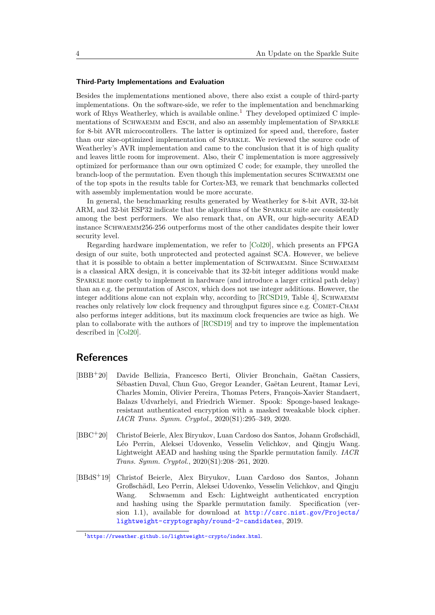#### **Third-Party Implementations and Evaluation**

Besides the implementations mentioned above, there also exist a couple of third-party implementations. On the software-side, we refer to the implementation and benchmarking work of Rhys Weatherley, which is available online.<sup>[1](#page-3-3)</sup> They developed optimized C implementations of SCHWAEMM and ESCH, and also an assembly implementation of SPARKLE for 8-bit AVR microcontrollers. The latter is optimized for speed and, therefore, faster than our size-optimized implementation of Sparkle. We reviewed the source code of Weatherley's AVR implementation and came to the conclusion that it is of high quality and leaves little room for improvement. Also, their C implementation is more aggressively optimized for performance than our own optimized C code; for example, they unrolled the branch-loop of the permutation. Even though this implementation secures SCHWAEMM one of the top spots in the results table for Cortex-M3, we remark that benchmarks collected with assembly implementation would be more accurate.

In general, the benchmarking results generated by Weatherley for 8-bit AVR, 32-bit ARM, and 32-bit ESP32 indicate that the algorithms of the Sparkle suite are consistently among the best performers. We also remark that, on AVR, our high-security AEAD instance Schwaemm256-256 outperforms most of the other candidates despite their lower security level.

Regarding hardware implementation, we refer to [\[Col20\]](#page-4-4), which presents an FPGA design of our suite, both unprotected and protected against SCA. However, we believe that it is possible to obtain a better implementation of SCHWAEMM. Since SCHWAEMM is a classical ARX design, it is conceivable that its 32-bit integer additions would make Sparkle more costly to implement in hardware (and introduce a larger critical path delay) than an e.g. the permutation of Ascon, which does not use integer additions. However, the integer additions alone can not explain why, according to [\[RCSD19,](#page-4-5) Table 4], SCHWAEMM reaches only relatively low clock frequency and throughput figures since e.g. COMET-CHAM also performs integer additions, but its maximum clock frequencies are twice as high. We plan to collaborate with the authors of [\[RCSD19\]](#page-4-5) and try to improve the implementation described in [\[Col20\]](#page-4-4).

### **References**

- <span id="page-3-1"></span>[BBB<sup>+</sup>20] Davide Bellizia, Francesco Berti, Olivier Bronchain, Gaëtan Cassiers, Sébastien Duval, Chun Guo, Gregor Leander, Gaëtan Leurent, Itamar Levi, Charles Momin, Olivier Pereira, Thomas Peters, François-Xavier Standaert, Balazs Udvarhelyi, and Friedrich Wiemer. Spook: Sponge-based leakageresistant authenticated encryption with a masked tweakable block cipher. *IACR Trans. Symm. Cryptol.*, 2020(S1):295–349, 2020.
- <span id="page-3-0"></span>[BBC<sup>+</sup>20] Christof Beierle, Alex Biryukov, Luan Cardoso dos Santos, Johann Großschädl, Léo Perrin, Aleksei Udovenko, Vesselin Velichkov, and Qingju Wang. Lightweight AEAD and hashing using the Sparkle permutation family. *IACR Trans. Symm. Cryptol.*, 2020(S1):208–261, 2020.
- <span id="page-3-2"></span>[BBdS<sup>+</sup>19] Christof Beierle, Alex Biryukov, Luan Cardoso dos Santos, Johann Großschädl, Leo Perrin, Aleksei Udovenko, Vesselin Velichkov, and Qingju Wang. Schwaemm and Esch: Lightweight authenticated encryption and hashing using the Sparkle permutation family. Specifcation (version 1.1), available for download at [http://csrc.nist.gov/Projects/](http://csrc.nist.gov/Projects/lightweight-cryptography/round-2-candidates) [lightweight-cryptography/round-2-candidates](http://csrc.nist.gov/Projects/lightweight-cryptography/round-2-candidates), 2019.

<span id="page-3-3"></span><sup>1</sup><https://rweather.github.io/lightweight-crypto/index.html>.